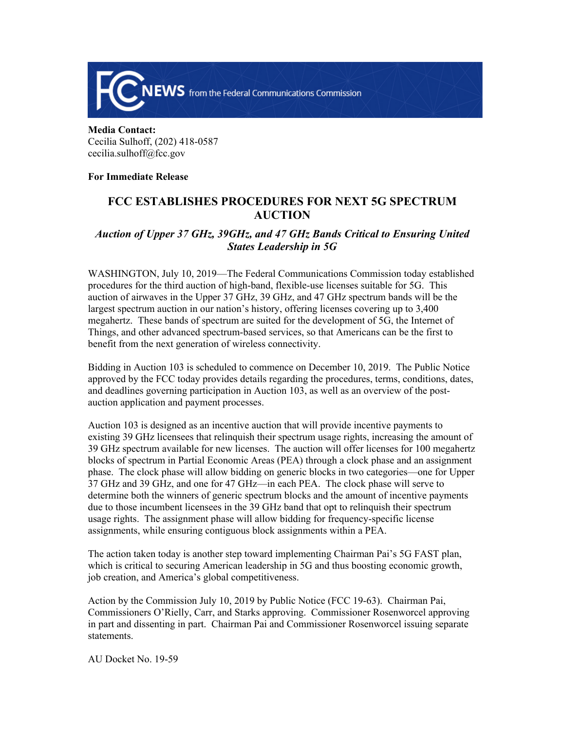

**Media Contact:**  Cecilia Sulhoff, (202) 418-0587 cecilia.sulhoff@fcc.gov

## **For Immediate Release**

## **FCC ESTABLISHES PROCEDURES FOR NEXT 5G SPECTRUM AUCTION**

## *Auction of Upper 37 GHz, 39GHz, and 47 GHz Bands Critical to Ensuring United States Leadership in 5G*

WASHINGTON, July 10, 2019—The Federal Communications Commission today established procedures for the third auction of high-band, flexible-use licenses suitable for 5G. This auction of airwaves in the Upper 37 GHz, 39 GHz, and 47 GHz spectrum bands will be the largest spectrum auction in our nation's history, offering licenses covering up to 3,400 megahertz. These bands of spectrum are suited for the development of 5G, the Internet of Things, and other advanced spectrum-based services, so that Americans can be the first to benefit from the next generation of wireless connectivity.

Bidding in Auction 103 is scheduled to commence on December 10, 2019. The Public Notice approved by the FCC today provides details regarding the procedures, terms, conditions, dates, and deadlines governing participation in Auction 103, as well as an overview of the postauction application and payment processes.

Auction 103 is designed as an incentive auction that will provide incentive payments to existing 39 GHz licensees that relinquish their spectrum usage rights, increasing the amount of 39 GHz spectrum available for new licenses. The auction will offer licenses for 100 megahertz blocks of spectrum in Partial Economic Areas (PEA) through a clock phase and an assignment phase. The clock phase will allow bidding on generic blocks in two categories—one for Upper 37 GHz and 39 GHz, and one for 47 GHz—in each PEA. The clock phase will serve to determine both the winners of generic spectrum blocks and the amount of incentive payments due to those incumbent licensees in the 39 GHz band that opt to relinquish their spectrum usage rights. The assignment phase will allow bidding for frequency-specific license assignments, while ensuring contiguous block assignments within a PEA.

The action taken today is another step toward implementing Chairman Pai's 5G FAST plan, which is critical to securing American leadership in 5G and thus boosting economic growth, job creation, and America's global competitiveness.

Action by the Commission July 10, 2019 by Public Notice (FCC 19-63). Chairman Pai, Commissioners O'Rielly, Carr, and Starks approving. Commissioner Rosenworcel approving in part and dissenting in part. Chairman Pai and Commissioner Rosenworcel issuing separate statements.

AU Docket No. 19-59